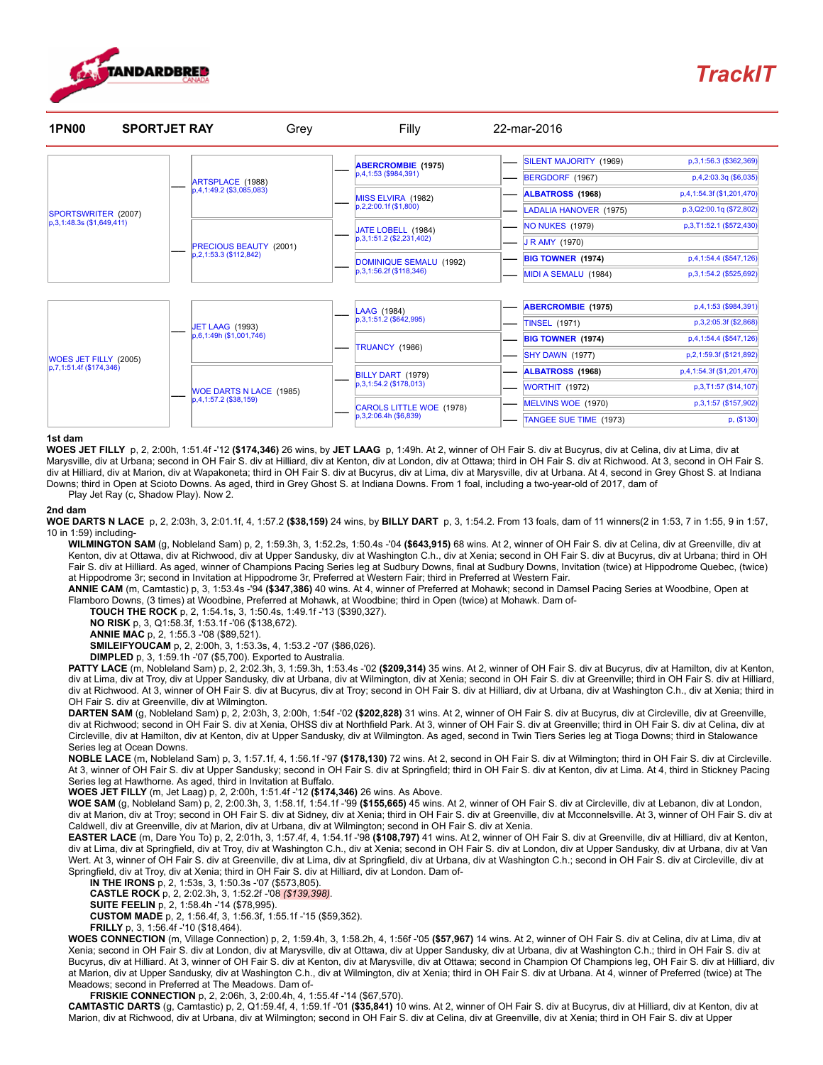

## [TrackIT](http://trackit.standardbredcanada.ca/)



## 1st dam

WOES JET FILLY p, 2, 2:00h, 1:51.4f -'12 (\$174,346) 26 wins, by JET LAAG p, 1:49h. At 2, winner of OH Fair S. div at Bucyrus, div at Celina, div at Lima, div at Marysville, div at Urbana; second in OH Fair S. div at Hilliard, div at Kenton, div at London, div at Ottawa; third in OH Fair S. div at Richwood. At 3, second in OH Fair S. div at Hilliard, div at Marion, div at Wapakoneta; third in OH Fair S. div at Bucyrus, div at Lima, div at Marysville, div at Urbana. At 4, second in Grey Ghost S. at Indiana Downs; third in Open at Scioto Downs. As aged, third in Grey Ghost S. at Indiana Downs. From 1 foal, including a two-year-old of 2017, dam of Play Jet Ray (c, Shadow Play). Now 2.

## 2nd dam

WOE DARTS N LACE p, 2, 2:03h, 3, 2:01.1f, 4, 1:57.2 (\$38,159) 24 wins, by BILLY DART p, 3, 1:54.2. From 13 foals, dam of 11 winners(2 in 1:53, 7 in 1:55, 9 in 1:57, 10 in 1:59) including-

WILMINGTON SAM (g, Nobleland Sam) p, 2, 1:59.3h, 3, 1:52.2s, 1:50.4s -'04 (\$643,915) 68 wins. At 2, winner of OH Fair S. div at Celina, div at Greenville, div at Kenton, div at Ottawa, div at Richwood, div at Upper Sandusky, div at Washington C.h., div at Xenia; second in OH Fair S. div at Bucyrus, div at Urbana; third in OH Fair S. div at Hilliard. As aged, winner of Champions Pacing Series leg at Sudbury Downs, final at Sudbury Downs, Invitation (twice) at Hippodrome Quebec, (twice) at Hippodrome 3r; second in Invitation at Hippodrome 3r, Preferred at Western Fair; third in Preferred at Western Fair.

ANNIE CAM (m, Camtastic) p, 3, 1:53.4s -'94 (\$347,386) 40 wins. At 4, winner of Preferred at Mohawk; second in Damsel Pacing Series at Woodbine, Open at Flamboro Downs, (3 times) at Woodbine, Preferred at Mohawk, at Woodbine; third in Open (twice) at Mohawk. Dam of-

TOUCH THE ROCK p, 2, 1:54.1s, 3, 1:50.4s, 1:49.1f -'13 (\$390,327).

NO RISK p, 3, Q1:58.3f, 1:53.1f -'06 (\$138,672).

ANNIE MAC p, 2, 1:55.3 -'08 (\$89,521).

SMILEIFYOUCAM p, 2, 2:00h, 3, 1:53.3s, 4, 1:53.2 -'07 (\$86,026).

DIMPLED p, 3, 1:59.1h -'07 (\$5,700). Exported to Australia.

PATTY LACE (m, Nobleland Sam) p, 2, 2:02.3h, 3, 1:59.3h, 1:53.4s -'02 (\$209,314) 35 wins. At 2, winner of OH Fair S. div at Bucyrus, div at Hamilton, div at Kenton, div at Lima, div at Troy, div at Upper Sandusky, div at Urbana, div at Wilmington, div at Xenia; second in OH Fair S. div at Greenville; third in OH Fair S. div at Hilliard, div at Richwood. At 3, winner of OH Fair S. div at Bucyrus, div at Troy; second in OH Fair S. div at Hilliard, div at Urbana, div at Washington C.h., div at Xenia; third in OH Fair S. div at Greenville, div at Wilmington.

DARTEN SAM (g, Nobleland Sam) p, 2, 2:03h, 3, 2:00h, 1:54f -'02 (\$202,828) 31 wins. At 2, winner of OH Fair S. div at Bucyrus, div at Circleville, div at Greenville, div at Richwood; second in OH Fair S. div at Xenia, OHSS div at Northfield Park. At 3, winner of OH Fair S. div at Greenville; third in OH Fair S. div at Celina, div at Circleville, div at Hamilton, div at Kenton, div at Upper Sandusky, div at Wilmington. As aged, second in Twin Tiers Series leg at Tioga Downs; third in Stalowance Series leg at Ocean Downs.

NOBLE LACE (m, Nobleland Sam) p, 3, 1:57.1f, 4, 1:56.1f -'97 (\$178,130) 72 wins. At 2, second in OH Fair S. div at Wilmington; third in OH Fair S. div at Circleville. At 3, winner of OH Fair S. div at Upper Sandusky; second in OH Fair S. div at Springfield; third in OH Fair S. div at Kenton, div at Lima. At 4, third in Stickney Pacing Series leg at Hawthorne. As aged, third in Invitation at Buffalo.

WOES JET FILLY (m, Jet Laag) p, 2, 2:00h, 1:51.4f -'12 (\$174,346) 26 wins. As Above.

WOE SAM (g, Nobleland Sam) p, 2, 2:00.3h, 3, 1:58.1f, 1:54.1f -'99 (\$155,665) 45 wins. At 2, winner of OH Fair S. div at Circleville, div at Lebanon, div at London, div at Marion, div at Troy; second in OH Fair S. div at Sidney, div at Xenia; third in OH Fair S. div at Greenville, div at Mcconnelsville. At 3, winner of OH Fair S. div at Caldwell, div at Greenville, div at Marion, div at Urbana, div at Wilmington; second in OH Fair S. div at Xenia.

EASTER LACE (m, Dare You To) p, 2, 2:01h, 3, 1:57.4f, 4, 1:54.1f -'98 (\$108,797) 41 wins. At 2, winner of OH Fair S. div at Greenville, div at Hilliard, div at Kenton, div at Lima, div at Springfield, div at Troy, div at Washington C.h., div at Xenia; second in OH Fair S. div at London, div at Upper Sandusky, div at Urbana, div at Van Wert. At 3, winner of OH Fair S. div at Greenville, div at Lima, div at Springfield, div at Urbana, div at Washington C.h.; second in OH Fair S. div at Circleville, div at Springfield, div at Troy, div at Xenia; third in OH Fair S. div at Hilliard, div at London. Dam of-

IN THE IRONS p, 2, 1:53s, 3, 1:50.3s -'07 (\$573,805).

CASTLE ROCK p, 2, 2:02.3h, 3, 1:52.2f -'08 (\$139,398).

SUITE FEELIN p, 2, 1:58.4h -'14 (\$78,995).

CUSTOM MADE p, 2, 1:56.4f, 3, 1:56.3f, 1:55.1f -'15 (\$59,352).

FRILLY p, 3, 1:56.4f -'10 (\$18,464).

WOES CONNECTION (m, Village Connection) p, 2, 1:59.4h, 3, 1:58.2h, 4, 1:56f -'05 (\$57,967) 14 wins. At 2, winner of OH Fair S. div at Celina, div at Lima, div at Xenia; second in OH Fair S. div at London, div at Marysville, div at Ottawa, div at Upper Sandusky, div at Urbana, div at Washington C.h.; third in OH Fair S. div at Bucyrus, div at Hilliard. At 3, winner of OH Fair S. div at Kenton, div at Marysville, div at Ottawa; second in Champion Of Champions leg, OH Fair S. div at Hilliard, div at Marion, div at Upper Sandusky, div at Washington C.h., div at Wilmington, div at Xenia; third in OH Fair S. div at Urbana. At 4, winner of Preferred (twice) at The Meadows; second in Preferred at The Meadows. Dam of-

FRISKIE CONNECTION p, 2, 2:06h, 3, 2:00.4h, 4, 1:55.4f -'14 (\$67,570).

CAMTASTIC DARTS (g, Camtastic) p, 2, Q1:59.4f, 4, 1:59.1f -'01 (\$35,841) 10 wins. At 2, winner of OH Fair S. div at Bucyrus, div at Hilliard, div at Kenton, div at Marion, div at Richwood, div at Urbana, div at Wilmington; second in OH Fair S. div at Celina, div at Greenville, div at Xenia; third in OH Fair S. div at Upper